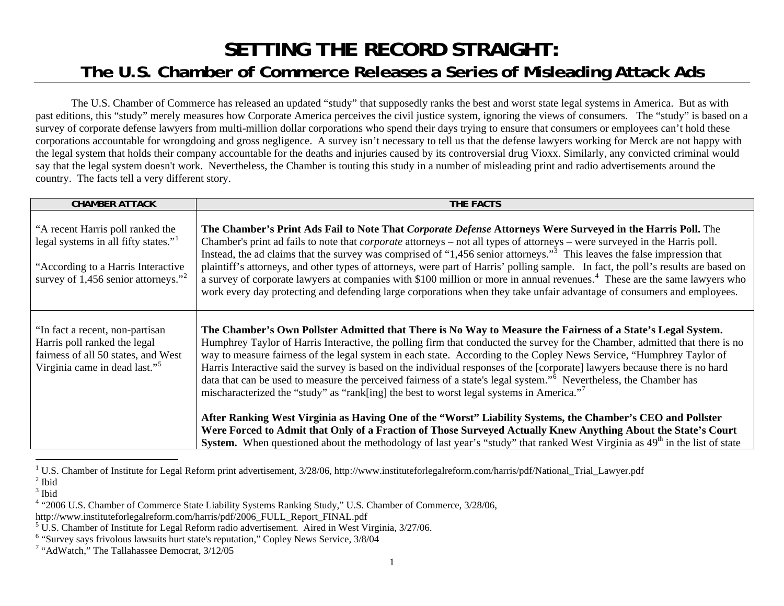## **SETTING THE RECORD STRAIGHT: The U.S. Chamber of Commerce Releases a Series of Misleading Attack Ads**

The U.S. Chamber of Commerce has released an updated "study" that supposedly ranks the best and worst state legal systems in America. But as with past editions, this "study" merely measures how Corporate America perceives the civil justice system, ignoring the views of consumers. The "study" is based on a survey of corporate defense lawyers from multi-million dollar corporations who spend their days trying to ensure that consumers or employees can't hold these corporations accountable for wrongdoing and gross negligence. A survey isn't necessary to tell us that the defense lawyers working for Merck are not happy with the legal system that holds their company accountable for the deaths and injuries caused by its controversial drug Vioxx. Similarly, any convicted criminal would say that the legal system doesn't work. Nevertheless, the Chamber is touting this study in a number of misleading print and radio advertisements around the country. The facts tell a very different story.

| <b>CHAMBER ATTACK</b>                                                                                                                                                          | THE FACTS                                                                                                                                                                                                                                                                                                                                                                                                                                                                                                                                                                                                                                                                                                                                                                                                                                                                                                                                                                                                                                                                                                 |
|--------------------------------------------------------------------------------------------------------------------------------------------------------------------------------|-----------------------------------------------------------------------------------------------------------------------------------------------------------------------------------------------------------------------------------------------------------------------------------------------------------------------------------------------------------------------------------------------------------------------------------------------------------------------------------------------------------------------------------------------------------------------------------------------------------------------------------------------------------------------------------------------------------------------------------------------------------------------------------------------------------------------------------------------------------------------------------------------------------------------------------------------------------------------------------------------------------------------------------------------------------------------------------------------------------|
| "A recent Harris poll ranked the<br>legal systems in all fifty states." <sup>1</sup><br>"According to a Harris Interactive"<br>survey of 1,456 senior attorneys." <sup>2</sup> | The Chamber's Print Ads Fail to Note That Corporate Defense Attorneys Were Surveyed in the Harris Poll. The<br>Chamber's print ad fails to note that <i>corporate</i> attorneys - not all types of attorneys - were surveyed in the Harris poll.<br>Instead, the ad claims that the survey was comprised of "1,456 senior attorneys." <sup>3</sup> This leaves the false impression that<br>plaintiff's attorneys, and other types of attorneys, were part of Harris' polling sample. In fact, the poll's results are based on<br>a survey of corporate lawyers at companies with \$100 million or more in annual revenues. <sup>4</sup> These are the same lawyers who<br>work every day protecting and defending large corporations when they take unfair advantage of consumers and employees.                                                                                                                                                                                                                                                                                                         |
| "In fact a recent, non-partisan<br>Harris poll ranked the legal<br>fairness of all 50 states, and West<br>Virginia came in dead last." <sup>5</sup>                            | The Chamber's Own Pollster Admitted that There is No Way to Measure the Fairness of a State's Legal System.<br>Humphrey Taylor of Harris Interactive, the polling firm that conducted the survey for the Chamber, admitted that there is no<br>way to measure fairness of the legal system in each state. According to the Copley News Service, "Humphrey Taylor of<br>Harris Interactive said the survey is based on the individual responses of the [corporate] lawyers because there is no hard<br>data that can be used to measure the perceived fairness of a state's legal system." <sup>6</sup> Nevertheless, the Chamber has<br>mischaracterized the "study" as "rank[ing] the best to worst legal systems in America."<br>After Ranking West Virginia as Having One of the "Worst" Liability Systems, the Chamber's CEO and Pollster<br>Were Forced to Admit that Only of a Fraction of Those Surveyed Actually Knew Anything About the State's Court<br>System. When questioned about the methodology of last year's "study" that ranked West Virginia as 49 <sup>th</sup> in the list of state |

<sup>&</sup>lt;sup>1</sup> U.S. Chamber of Institute for Legal Reform print advertisement,  $3/28/06$ , http://www.instituteforlegalreform.com/harris/pdf/National\_Trial\_Lawyer.pdf

<span id="page-0-2"></span><span id="page-0-1"></span><span id="page-0-0"></span> $<sup>2</sup>$  Ibid</sup>

 $3$  Ibid

<span id="page-0-3"></span><sup>4 &</sup>quot;2006 U.S. Chamber of Commerce State Liability Systems Ranking Study," U.S. Chamber of Commerce, 3/28/06,

http://www.instituteforlegalreform.com/harris/pdf/2006\_FULL\_Report\_FINAL.pdf

<span id="page-0-4"></span><sup>5</sup> U.S. Chamber of Institute for Legal Reform radio advertisement. Aired in West Virginia, 3/27/06.

<span id="page-0-5"></span> $6$  "Survey says frivolous lawsuits hurt state's reputation," Copley News Service,  $3/8/\sqrt{04}$ 

<span id="page-0-6"></span><sup>&</sup>lt;sup>7</sup> "AdWatch," The Tallahassee Democrat, 3/12/05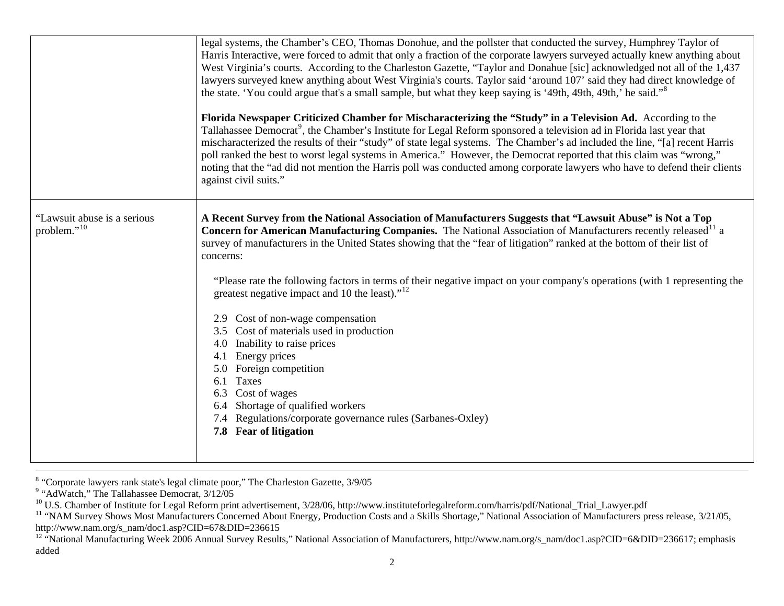|                                                        | Florida Newspaper Criticized Chamber for Mischaracterizing the "Study" in a Television Ad. According to the<br>Tallahassee Democrat <sup>9</sup> , the Chamber's Institute for Legal Reform sponsored a television ad in Florida last year that<br>mischaracterized the results of their "study" of state legal systems. The Chamber's ad included the line, "[a] recent Harris<br>poll ranked the best to worst legal systems in America." However, the Democrat reported that this claim was "wrong,"<br>noting that the "ad did not mention the Harris poll was conducted among corporate lawyers who have to defend their clients<br>against civil suits."                                                                                                                                                                                                                                                  |
|--------------------------------------------------------|-----------------------------------------------------------------------------------------------------------------------------------------------------------------------------------------------------------------------------------------------------------------------------------------------------------------------------------------------------------------------------------------------------------------------------------------------------------------------------------------------------------------------------------------------------------------------------------------------------------------------------------------------------------------------------------------------------------------------------------------------------------------------------------------------------------------------------------------------------------------------------------------------------------------|
| "Lawsuit abuse is a serious<br>problem." <sup>10</sup> | A Recent Survey from the National Association of Manufacturers Suggests that "Lawsuit Abuse" is Not a Top<br>Concern for American Manufacturing Companies. The National Association of Manufacturers recently released <sup>11</sup> a<br>survey of manufacturers in the United States showing that the "fear of litigation" ranked at the bottom of their list of<br>concerns:<br>"Please rate the following factors in terms of their negative impact on your company's operations (with 1 representing the<br>greatest negative impact and 10 the least)." <sup>12</sup><br>2.9 Cost of non-wage compensation<br>3.5 Cost of materials used in production<br>4.0 Inability to raise prices<br>Energy prices<br>4.1<br>5.0 Foreign competition<br>Taxes<br>6.1<br>Cost of wages<br>6.4 Shortage of qualified workers<br>7.4 Regulations/corporate governance rules (Sarbanes-Oxley)<br>7.8 Fear of litigation |

<span id="page-1-0"></span> $8$  "Corporate lawyers rank state's legal climate poor," The Charleston Gazette,  $3/9/05$ 

<span id="page-1-1"></span> $9$  "AdWatch," The Tallahassee Democrat,  $3/12/05$ 

<span id="page-1-2"></span><sup>&</sup>lt;sup>10</sup> U.S. Chamber of Institute for Legal Reform print advertisement, 3/28/06, http://www.instituteforlegalreform.com/harris/pdf/National\_Trial\_Lawyer.pdf

<span id="page-1-3"></span><sup>&</sup>lt;sup>11</sup> "NAM Survey Shows Most Manufacturers Concerned About Energy, Production Costs and a Skills Shortage," National Association of Manufacturers press release, 3/21/05, http://www.nam.org/s\_nam/doc1.asp?CID=67&DID=236615

<span id="page-1-4"></span><sup>&</sup>lt;sup>12</sup> "National Manufacturing Week 2006 Annual Survey Results," National Association of Manufacturers, http://www.nam.org/s\_nam/doc1.asp?CID=6&DID=236617; emphasis added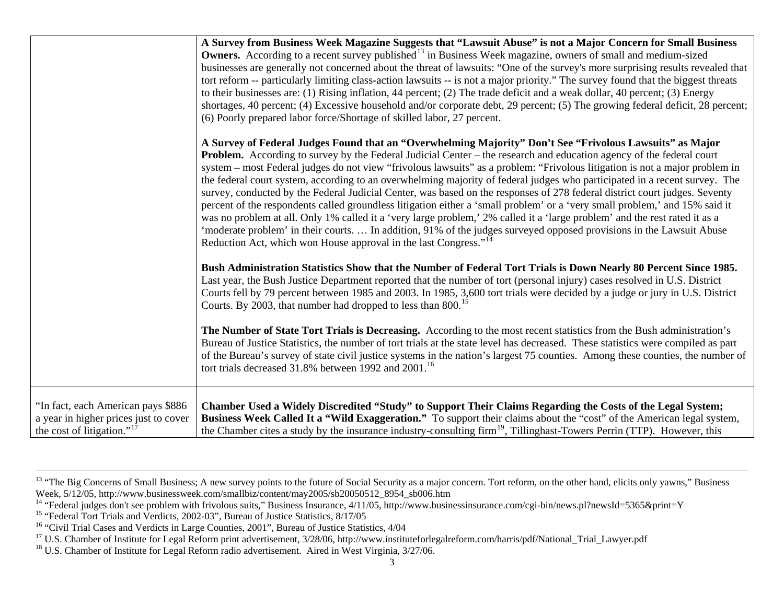|                                                                                                              | A Survey from Business Week Magazine Suggests that "Lawsuit Abuse" is not a Major Concern for Small Business<br><b>Owners.</b> According to a recent survey published <sup>13</sup> in Business Week magazine, owners of small and medium-sized<br>businesses are generally not concerned about the threat of lawsuits: "One of the survey's more surprising results revealed that<br>tort reform -- particularly limiting class-action lawsuits -- is not a major priority." The survey found that the biggest threats<br>to their businesses are: (1) Rising inflation, 44 percent; (2) The trade deficit and a weak dollar, 40 percent; (3) Energy<br>shortages, 40 percent; (4) Excessive household and/or corporate debt, 29 percent; (5) The growing federal deficit, 28 percent;<br>(6) Poorly prepared labor force/Shortage of skilled labor, 27 percent.                                                                                                                                                                                                                                       |
|--------------------------------------------------------------------------------------------------------------|---------------------------------------------------------------------------------------------------------------------------------------------------------------------------------------------------------------------------------------------------------------------------------------------------------------------------------------------------------------------------------------------------------------------------------------------------------------------------------------------------------------------------------------------------------------------------------------------------------------------------------------------------------------------------------------------------------------------------------------------------------------------------------------------------------------------------------------------------------------------------------------------------------------------------------------------------------------------------------------------------------------------------------------------------------------------------------------------------------|
|                                                                                                              | A Survey of Federal Judges Found that an "Overwhelming Majority" Don't See "Frivolous Lawsuits" as Major<br><b>Problem.</b> According to survey by the Federal Judicial Center – the research and education agency of the federal court<br>system – most Federal judges do not view "frivolous lawsuits" as a problem: "Frivolous litigation is not a major problem in<br>the federal court system, according to an overwhelming majority of federal judges who participated in a recent survey. The<br>survey, conducted by the Federal Judicial Center, was based on the responses of 278 federal district court judges. Seventy<br>percent of the respondents called groundless litigation either a 'small problem' or a 'very small problem,' and 15% said it<br>was no problem at all. Only 1% called it a 'very large problem,' 2% called it a 'large problem' and the rest rated it as a<br>'moderate problem' in their courts.  In addition, 91% of the judges surveyed opposed provisions in the Lawsuit Abuse<br>Reduction Act, which won House approval in the last Congress." <sup>14</sup> |
|                                                                                                              | Bush Administration Statistics Show that the Number of Federal Tort Trials is Down Nearly 80 Percent Since 1985.<br>Last year, the Bush Justice Department reported that the number of tort (personal injury) cases resolved in U.S. District<br>Courts fell by 79 percent between 1985 and 2003. In 1985, 3,600 tort trials were decided by a judge or jury in U.S. District<br>Courts. By 2003, that number had dropped to less than 800. <sup>15</sup>                                                                                                                                                                                                                                                                                                                                                                                                                                                                                                                                                                                                                                               |
|                                                                                                              | The Number of State Tort Trials is Decreasing. According to the most recent statistics from the Bush administration's<br>Bureau of Justice Statistics, the number of tort trials at the state level has decreased. These statistics were compiled as part<br>of the Bureau's survey of state civil justice systems in the nation's largest 75 counties. Among these counties, the number of<br>tort trials decreased 31.8% between 1992 and 2001. <sup>16</sup>                                                                                                                                                                                                                                                                                                                                                                                                                                                                                                                                                                                                                                         |
| "In fact, each American pays \$886<br>a year in higher prices just to cover<br>the cost of litigation." $17$ | Chamber Used a Widely Discredited "Study" to Support Their Claims Regarding the Costs of the Legal System;<br><b>Business Week Called It a "Wild Exaggeration."</b> To support their claims about the "cost" of the American legal system,<br>the Chamber cites a study by the insurance industry-consulting firm <sup>19</sup> , Tillinghast-Towers Perrin (TTP). However, this                                                                                                                                                                                                                                                                                                                                                                                                                                                                                                                                                                                                                                                                                                                        |

<span id="page-2-5"></span><span id="page-2-0"></span><sup>&</sup>lt;sup>13</sup> "The Big Concerns of Small Business; A new survey points to the future of Social Security as a major concern. Tort reform, on the other hand, elicits only yawns," Business Week, 5/12/05, http://www.businessweek.com/smallbiz/content/may2005/sb20050512\_8954\_sb006.htm

<span id="page-2-1"></span><sup>&</sup>lt;sup>14</sup> "Federal judges don't see problem with frivolous suits," Business Insurance, 4/11/05, http://www.businessinsurance.com/cgi-bin/news.pl?newsId=5365&print=Y

<span id="page-2-2"></span><sup>&</sup>lt;sup>15</sup> "Federal Tort Trials and Verdicts, 2002-03", Bureau of Justice Statistics, 8/17/05

<span id="page-2-3"></span><sup>&</sup>lt;sup>16</sup> "Civil Trial Cases and Verdicts in Large Counties, 2001", Bureau of Justice Statistics, 4/04

<span id="page-2-4"></span><sup>&</sup>lt;sup>17</sup> U.S. Chamber of Institute for Legal Reform print advertisement, 3/28/06, http://www.instituteforlegalreform.com/harris/pdf/National\_Trial\_Lawyer.pdf

 $18$  U.S. Chamber of Institute for Legal Reform radio advertisement. Aired in West Virginia,  $3/27/06$ .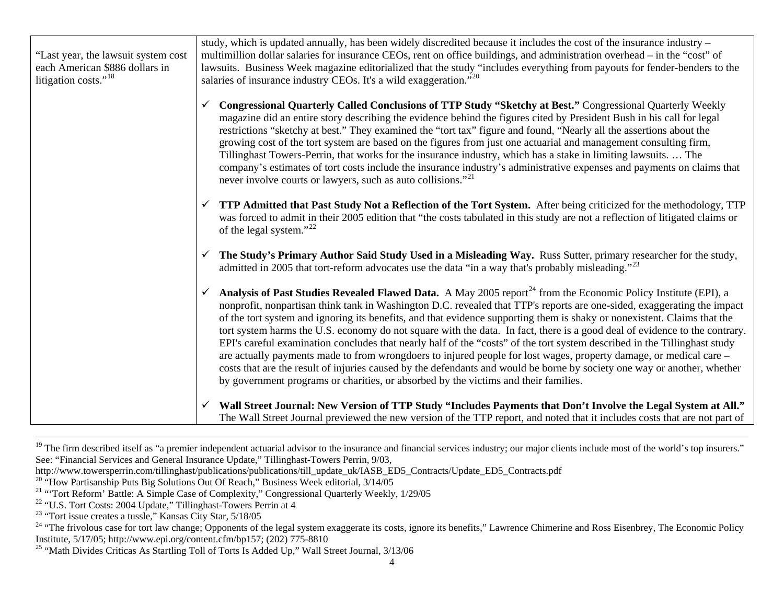"Last year, the lawsuit system cost each American \$886 dollars in litigation costs."<sup>[18](#page-3-0)</sup> study, which is updated annually, has been widely discredited because it includes the cost of the insurance industry – multimillion dollar salaries for insurance CEOs, rent on office buildings, and administration overhead – in the "cost" of lawsuits. Business Week magazine editorialized that the study "includes everything from payouts for fender-benders to the salaries of insurance industry CEOs. It's a wild exaggeration."<sup>[20](#page-3-1)</sup> 9 **Congressional Quarterly Called Conclusions of TTP Study "Sketchy at Best."** Congressional Quarterly Weekly magazine did an entire story describing the evidence behind the figures cited by President Bush in his call for legal restrictions "sketchy at best." They examined the "tort tax" figure and found, "Nearly all the assertions about the growing cost of the tort system are based on the figures from just one actuarial and management consulting firm, Tillinghast Towers-Perrin, that works for the insurance industry, which has a stake in limiting lawsuits. … The company's estimates of tort costs include the insurance industry's administrative expenses and payments on claims that never involve courts or lawyers, such as auto collisions."<sup>[21](#page-3-2)</sup>  $\checkmark$  **TTP Admitted that Past Study Not a Reflection of the Tort System.** After being criticized for the methodology, TTP was forced to admit in their 2005 edition that "the costs tabulated in this study are not a reflection of litigated claims or of the legal system."[22](#page-3-3)  $\checkmark$  **The Study's Primary Author Said Study Used in a Misleading Way.** Russ Sutter, primary researcher for the study, admitted in 2005 that tort-reform advocates use the data "in a way that's probably misleading."<sup>[23](#page-3-4)</sup> Analysis of Past Studies Revealed Flawed Data. A May 2005 report<sup>[24](#page-3-5)</sup> from the Economic Policy Institute (EPI), a nonprofit, nonpartisan think tank in Washington D.C. revealed that TTP's reports are one-sided, exaggerating the impact of the tort system and ignoring its benefits, and that evidence supporting them is shaky or nonexistent. Claims that the tort system harms the U.S. economy do not square with the data. In fact, there is a good deal of evidence to the contrary. EPI's careful examination concludes that nearly half of the "costs" of the tort system described in the Tillinghast study are actually payments made to from wrongdoers to injured people for lost wages, property damage, or medical care – costs that are the result of injuries caused by the defendants and would be borne by society one way or another, whether by government programs or charities, or absorbed by the victims and their families.  $\checkmark$  **Wall Street Journal: New Version of TTP Study "Includes Payments that Don't Involve the Legal System at All."** The Wall Street Journal previewed the new version of the TTP report, and noted that it includes costs that are not part of

<sup>&</sup>lt;sup>19</sup> The firm described itself as "a premier independent actuarial advisor to the insurance and financial services industry; our major clients include most of the world's top insurers." See: "Financial Services and General Insurance Update," Tillinghast-Towers Perrin, 9/03,

http://www.towersperrin.com/tillinghast/publications/publications/till\_update\_uk/IASB\_ED5\_Contracts/Update\_ED5\_Contracts.pdf

<span id="page-3-1"></span><sup>&</sup>lt;sup>20</sup> "How Partisanship Puts Big Solutions Out Of Reach," Business Week editorial, 3/14/05

<span id="page-3-2"></span><sup>&</sup>lt;sup>21</sup> "Tort Reform' Battle: A Simple Case of Complexity," Congressional Quarterly Weekly, 1/29/05

<span id="page-3-3"></span><sup>&</sup>lt;sup>22</sup> "U.S. Tort Costs: 2004 Update," Tillinghast-Towers Perrin at 4

<span id="page-3-4"></span><sup>23 &</sup>quot;Tort issue creates a tussle," Kansas City Star, 5/18/05

<span id="page-3-5"></span><sup>&</sup>lt;sup>24</sup> "The frivolous case for tort law change; Opponents of the legal system exaggerate its costs, ignore its benefits," Lawrence Chimerine and Ross Eisenbrey, The Economic Policy Institute, 5/17/05; http://www.epi.org/content.cfm/bp157; (202) 775-8810

<span id="page-3-0"></span><sup>&</sup>lt;sup>25</sup> "Math Divides Criticas As Startling Toll of Torts Is Added Up," Wall Street Journal,  $3/13/06$